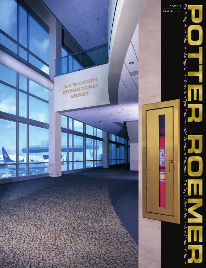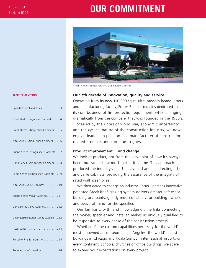## **DUR COMMITMENT**



Potter Roemer Headquarters in City of Industry, California.

### **Our 7th decade of innovation, quality and service.**

Operating from its new 110,000 sq. ft. ultra modern headquarters and manufacturing facility, Potter Roemer remains dedicated to its core business of fire protection equipment, while changing dramatically from the company that was founded in the 1930's.

Steeled by the rigors of world war, economic uncertainty, and the cyclical nature of the construction industry, we now enjoy a leadership position as a manufacturer of constructionrelated products and continue to grow.

### **Product improvement … and change.**

We look at product, not from the viewpoint of how it's always been, but rather how much better it can be. This approach produced the industry's first UL classified and listed extinguisher and valve cabinets, providing the assurance of the integrity of rated wall assemblies.

We then dared to change an industry. Potter Roemer's innovative, patented Break Rite® glazing system delivers greater safety for building occupants, greatly reduced liability for building owners and peace of mind for the specifier.

Our familiarity with, and knowledge of, the links connecting the owner, specifier and installer, makes us uniquely qualified to be responsive to every phase of the construction process.

Whether it's the custom capabilities necessary for the world's most renowned art museum in Los Angeles, the world's tallest buildings in Chicago and Kuala Lumpur, international airports on every continent, schools, churches or office buildings, we strive to exceed your expectations on every project.

#### **TABLE OF CONTENTS**

| Specification Guidelines3                |
|------------------------------------------|
| Fire-Rated Extinguisher Cabinets 4       |
| Break Rite® Extinguisher Cabinets 5      |
| Alta Series Extinguisher Cabinets 6      |
| Buena Series Extinguisher Cabinets7      |
| Dana Series Extinguisher Cabinets. 8     |
| Loma Series Extinguisher Cabinets 9      |
| Alta Series Valve Cabinets 10            |
| Buena Series Valve Cabinets. 11          |
| Dana Series Valve Cabinets 12            |
| Detention/Institution Series Cabinets 13 |
|                                          |
| Portable Fire Extinguishers 15           |
| Regulatory Information 16                |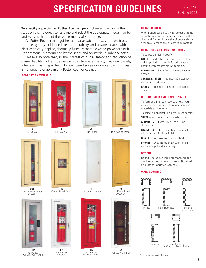# **SPECIFICATION GUIDELINES** BUSINES

**To specify a particular Potter Roemer product** — simply follow the steps on each product series page and select the appropriate model number and suffixes that meet the requirements of your project.

All Potter Roemer extinguisher and valve cabinet boxes are constructed from heavy-duty, cold-rolled steel for durability, and powder-coated with an electrostatically applied, thermally-fused, recoatable white polyester finish. Door material is determined by the series and /or model number selected.

Please also note that, in the interest of public safety and reduction of owner liability, Potter Roemer provides tempered safety glass exclusively, whenever glass is specified. Non-tempered single or double strength glass is no longer available in any Potter Roemer cabinet.

**DOOR STYLES AVAILABLE**



**-A** Full Glass



**-DVL** Duo Vertical Panel w/Lock



**-FP** Full Glass w/Flush Pull Handle



**-B** Full Break Glass



**-E** Center Break Glass



**-BA** Full Bubble w/Catch



**-D** Duo Panel



Duo Vertical Panel



**-F** Solid Flush Panel



**-BB** Full Bubble w/Cylinder Lock



Within each series you may select a range of materials and optional finishes for the door and frame. A diversity of door styles is available to meet any project requirement.

#### **METAL DOOR AND FRAME MATERIALS**

To select a finish, specify:

**STEEL**—Cold rolled steel with electrostatically applied, thermally-fused polyester coating with recoatable white finish.

**ALUMINUM**—Satin finish, clear polyestercoated.

**STAINLESS STEEL**— Number 304 stainless, with number 4 finish.

**BRASS**— Polished finish, clear polyestercoated.

#### **OPTIONAL DOOR AND FRAME FINISHES**

To further enhance these cabinets, you may choose a variety of optional glazing materials and lettering.

To select an optional finish, you must specify:

**STEEL**— Any available polyester color.

**ALUMINUM**—Light, Medium or Dark duranodic.

**STAINLESS STEEL**— Number 304 stainless, with number 8 mirror finish.

**BRASS**—Dark oxidized, oil rubbed.

**BRONZE**—U.S. Number 10 satin finish with clear polyester coating.

#### **OPTIONAL**

Rolled Radius available on recessed and semi-recessed (shown below). Standard on surface-mounted cabinets.

#### **WALL MOUNTING**





Semi-Recessed w/Optional Rolled Radius

\*controlled access by key only Full Acrylic Panel



Solid Flush Panel w/Lock<sup>\*</sup>



**-A**

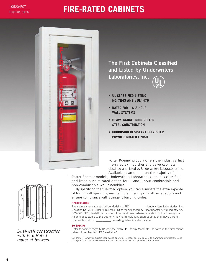## **FIRE-RATED CABINETS**



**The First Cabinets Classified and Listed by Underwriters** Laboratories, Inc. **U ®L**

- **UL CLASSIFIED LISTING NO. 7N43 ANSI / UL 1479**
- **RATED FOR 1 & 2 HOUR WALL SYSTEMS**
- **HEAVY GAUGE, COLD-ROLLED STEEL CONSTRUCTION**
- **CORROSION RESISTANT POLYESTER POWDER-COATED FINISH**

Potter Roemer proudly offers the industry's first fire-rated extinguisher and valve cabinets classified and listed by Underwriters Laboratories, Inc. Available as an option on the majority of

Dual-wall construction with Fire-Rated material between

Potter Roemer models, Underwriters Laboratories, Inc. has classified and listed our fire-rated option for 1- and 2-hour combustible and non-combustible wall assemblies.

By specifying the fire-rated option, you can eliminate the extra expense of lining wall openings, maintain the integrity of wall penetrations and ensure compliance with stringent building codes.

#### **SPECIFICATION**

Fire extinguisher cabinet shall be Model No. FRC \_\_\_\_\_\_\_\_\_\_\_. Underwriters Laboratories, Inc. Classified No. 7N43 2-hour Fire-Rated unit as manufactured by Potter Roemer, City of Industry, CA, 800-366-FIRE. Install the cabinet plumb and level, where indicated on the drawings, at heights acceptable to the authority having jurisdiction. Each cabinet shall have a Potter Roemer Model No. \_\_\_\_\_\_\_\_\_\_\_ fire extinguisher installed inside.

#### **TO SPECIFY**

Refer to cabinet pages 6-12. Add the prefix **FRC-** to any Model No. indicated in the dimensions table column headed "FRC Available".

Call Potter Roemer for current listings and approvals. Dimensions are subject to manufacturer's tolerance and change without notice. We assume no responsibility for use of superseded or void data.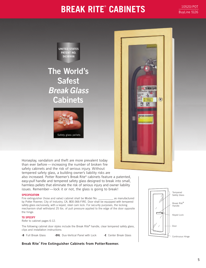### **BREAK RITE<sup>®</sup> CABINETS** 201520/POT

BuyLine 5126



### **The World's Safest Break Glass Cabinets**





Horseplay, vandalism and theft are more prevalent today than ever before — increasing the number of broken fire safety cabinets and the risk of serious injury. Without tempered safety glass, a building owner's liability risks are

also increased. Potter Roemer's Break Rite® cabinets feature a patented, *easy-pull* handle and tempered safety glass designed to break into small, harmless pellets that eliminate the risk of serious injury and owner liability issues. Remember—lock it or not, the glass is going to break!

#### **SPECIFICATION**

Fire extinguisher (hose and valve) cabinet shall be Model No. \_\_\_\_\_\_\_\_\_\_\_\_ as manufactured by Potter Roemer, City of Industry, CA, 800-366-FIRE. Door shall be equipped with tempered safety glass exclusively, with a keyed, steel cam lock. For security purposes, the locking mechanism shall withstand 25 lbs. of pull pressure applied to the edge of the door opposite the hinge.

#### **TO SPECIFY**

Refer to cabinet pages 6-12.

The following cabinet door styles include the Break Rite® handle, clear tempered safety glass, clips and installation instructions:

**-B** Full Break Glass **-DVL** Duo-Vertical Panel with Lock **-E** Center Break Glass

### Continuous Hinge Break Rite® Handle Keyed Lock Door Tempered Safety Glass

**Break Rite**® **Fire Extinguisher Cabinets from PotterRoemer.**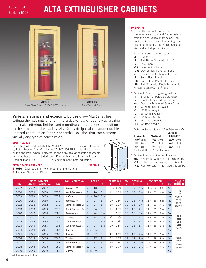### BuyLine 5126

# **ALTA EXTINGUISHER CABINETS**



**Variety, elegance and economy, by design** - Alta Series fire extinguisher cabinets offer an impressive variety of door styles, glazing materials, lettering, finishes and mounting configurations. In addition to their exceptional versatility, Alta Series designs also feature durable, unitized construction for an economical solution that complements virtually any type of construction.

#### **SPECIFICATION**

Fire extinguisher cabinet shall be Model No. \_\_\_\_\_\_\_\_\_\_\_ as manufactured by Potter Roemer, City of Industry, CA, 800-366-FIRE. Install the cabinets plumb and level, where indicated on the drawings, at heights acceptable to the authority having jurisdiction. Each cabinet shall have a Potter Roemer Model No. \_\_\_\_\_\_\_\_\_\_\_ fire extinguisher installed inside.

#### **SPECIFICATION EXAMPLE: 7080--A**

**1 7080** - Cabinet Dimensions, Mounting and Material **2 A** - Door Style - Full Glass



#### **TO SPECIFY**

- **1** Select the cabinet dimensions, mounting style, door and frame material from the Alta Series chart below. The cabinet dimensions and mounting type are determined by the fire extinguisher size and wall depth available.
- **2** Select the desired door style:
	- **-A** Full Glass
	- **-B** Full Break Glass with Lock\*
	- **-D** Duo Panel
	- **-DV** Duo-Vertical Panel
	- **-DVL** Duo-Vertical Panel with Lock\*
	- **-E** Center Break Glass with Lock\*
	- **-F** Solid Flush Panel
	- **-FS** Solid Flush Panel with Lock

**-FP** Full Glass with Flush Pull Handle \*Furnished with Break Rite® Handle.

- **3** Optional: Select the glazing material:
	- **-1** Bronze Tempered Safety Glass
	- **-2** Smoke Tempered Safety Glass
	- **-4** Obscure Tempered Safety Glass
	- **-5** <sup>1</sup> ⁄4" Wire Inserted Glass
	- **-6** <sup>1</sup> ⁄8" Clear Acrylic
	- **-7** <sup>1</sup> ⁄8" Amber Acrylic
	- **-8** <sup>1</sup> ⁄8" White Acrylic
	- **-9** <sup>1</sup> ⁄8" Smoke Acrylic
	- **-10** <sup>1</sup> ⁄8" Red Acrylic
- **4** Optional: Select lettering "Fire Extinguisher":

**Vertical** 

| Horizontal                                     | Vertical |           | <br>Ascending |              |  |  |  |  |  |  |
|------------------------------------------------|----------|-----------|---------------|--------------|--|--|--|--|--|--|
| -HW <sup>+</sup> White                         |          | -VW White | -VAW White    |              |  |  |  |  |  |  |
| $-HB^{\dagger}$ Black                          | -VB      | Black     | -VAB          | <b>Black</b> |  |  |  |  |  |  |
| $-HR^{\dagger}$ Red                            | -VR      | Red       | -VAR          | Red          |  |  |  |  |  |  |
| <sup>†</sup> Not available on -A and -DV Doors |          |           |               |              |  |  |  |  |  |  |

**5** Optional Construction and Finishes: **FRC-** Fire-Rated Cabinets, add this prefix. **-RR** Rolled Radius Frames, add this suffix.

**-RED** Red Polyester Finish, add this suffix.

|              |                 | <b>MODEL NUMBER</b>    |              | <b>WALL MOUNTING</b>    | <b>BOX I.D.</b> |                 |                |                 | <b>FRAME O.D.</b> | <b>WALL OPENING</b> |    |                |                 | <b>FRC OPTION</b> |                | (ኳ         | <b>FOR USE WITH</b><br><b>THESE</b> |
|--------------|-----------------|------------------------|--------------|-------------------------|-----------------|-----------------|----------------|-----------------|-------------------|---------------------|----|----------------|-----------------|-------------------|----------------|------------|-------------------------------------|
| <b>STEEL</b> | <b>ALUMINUM</b> | <b>STAINLESS STEEL</b> | <b>BRASS</b> |                         | K               |                 | M              | N               | $\mathbf{0}$      | W                   |    | D              | W               | H                 | D              | <b>ADA</b> | <b>EXTINGUISHERS</b>                |
| 7007         | 7037            | 7057                   | 7077         | $Recessed-1/2$          | 9               | 18              | 5              | $11\frac{3}{4}$ | $20\frac{3}{4}$   | 10                  | 19 | $4^{3}/4$      | $11\frac{1}{4}$ | 20                | $5\%$          | <b>Yes</b> |                                     |
| 7008         | 7038            | 7058                   | 7078         | Semi-Recessed-2         | 9               | 18              | 5              | $11\frac{3}{4}$ | $20\frac{3}{4}$   | 10                  | 19 | $3\frac{1}{4}$ | $11\frac{1}{4}$ | 20                | $4\frac{1}{8}$ | Yes        | 3002<br>3005                        |
| 7009         | 7039            | 7059                   | 7079         | Surface                 | $11\frac{1}{2}$ | $20^{1/2}$      | $5\frac{3}{4}$ |                 |                   |                     |    |                |                 |                   |                | <b>No</b>  | 3005-3                              |
| 7010         | 7030            | 7050                   | 7070         | Recessed- $\frac{1}{2}$ | 9               | 24              | 5              | $11\frac{3}{4}$ | $26\frac{3}{4}$   | 10                  | 25 | $4^{3}/_{4}$   | $11\frac{1}{4}$ | 26                | $5\%$          | <b>Yes</b> | 3302                                |
| 7012         | 7032            | 7052                   | 7072         | Semi-Recessed-2         | 9               | 24              | 5              | $11\frac{3}{4}$ | $26\frac{3}{4}$   | 10                  | 25 | $3\frac{1}{4}$ | $11\frac{1}{4}$ | 26                | $4\frac{1}{8}$ | Yes        | 3305<br>3305-3                      |
| 7013         | 7033            | 7053                   | 7073         | Semi-Recessed-3         | 9               | 24              | 5              | $11\frac{3}{4}$ | $26\frac{3}{4}$   | 10                  | 25 | $2^{1/4}$      | $11\frac{1}{4}$ | 26                | $3\frac{1}{8}$ | <b>Yes</b> |                                     |
| 7020         | 7040            | 7060                   | 7080         | Recessed- $\frac{1}{2}$ | 9               | 24              | $5\frac{3}{4}$ | $11\frac{3}{4}$ | $26\frac{3}{4}$   | 10                  | 25 | $5\frac{1}{2}$ | $11\frac{1}{4}$ | 26                | $6\frac{3}{8}$ | <b>Yes</b> |                                     |
| 7021         | 7041            | 7061                   | 7081         | <b>Trimless</b>         | 9               | 24              | $5\frac{3}{4}$ | $12\frac{3}{4}$ | $27\frac{3}{4}$   | 10                  | 25 | 6              | $11\frac{1}{4}$ | 26                | $7\frac{3}{8}$ | Yes        | 3006<br>3010                        |
| 7022         | 7042            | 7062                   | 7082         | Semi-Recessed-2         | 9               | 24              | $5\frac{3}{4}$ | $11\frac{3}{4}$ | $26\frac{3}{4}$   | 10                  | 25 | 4              | $11\frac{1}{4}$ | 26                | $4\frac{7}{8}$ | Yes        | 3306                                |
| 7023         | 7043            | 7063                   | 7083         | Semi-Recessed-3         | 9               | 24              | $5\frac{3}{4}$ | $11\frac{3}{4}$ | $26\frac{3}{4}$   | 10                  | 25 | 3              | $11\frac{1}{4}$ | -26               | $3\frac{7}{8}$ | <b>Yes</b> | 3310<br>3405                        |
| 7024         | 7044            | 7064                   | 7084         | Surface                 | $11\frac{1}{2}$ | $26\frac{1}{2}$ | $5\frac{3}{4}$ | ٠               |                   |                     |    |                |                 |                   |                | <b>No</b>  |                                     |
| 7025         | 7045            | 7065                   | 7085         | Recessed- $\frac{1}{2}$ | 12              | 27              | 8              | $14\frac{3}{4}$ | $29\frac{3}{4}$   | 13                  | 28 | $7^{3}/4$      | $14\frac{1}{4}$ | 29                | $8\frac{5}{8}$ | Yes        |                                     |
| 7026         | 7046            | 7066                   | 7086         | <b>Trimless</b>         | 12              | 27              | 8              | 153/4           | $30\frac{3}{4}$   | 13                  | 28 | $8\frac{1}{4}$ | $14\frac{1}{4}$ | 29                | $9\frac{5}{8}$ | <b>Yes</b> | 3020                                |
| 7027         | 7047            | 7067                   | 7087         | Semi-Recessed-3         | 12              | 27              | 8              | $14\frac{3}{4}$ | $29\frac{3}{4}$   | 13                  | 28 | $5\frac{1}{4}$ | $14\frac{1}{4}$ | 29                | $6\frac{1}{8}$ | <b>Yes</b> | 3202<br>3320                        |
| 7028         | 7048            | 7068                   | 7088         | Semi-Recessed-5         | 12              | 27              | 8              | $14\frac{3}{4}$ | $29\frac{3}{4}$   | 13                  | 28 | $3\frac{1}{4}$ | $14\frac{1}{4}$ | 29                | $4\frac{1}{8}$ | <b>No</b>  | 3410                                |
| 7029         | 7049            | 7069                   | 7089         | Surface                 | $14\%$          | $29\frac{3}{8}$ | 8              |                 |                   |                     |    |                |                 |                   |                | <b>No</b>  |                                     |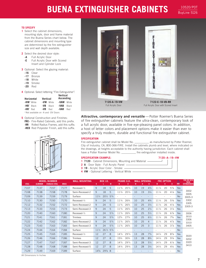# **BUENA EXTINGUISHER CABINETS**

10520/POT BuyLine 5126

### **TO SPECIFY**

- **1** Select the cabinet dimensions, mounting style, door and frame material from the Buena Series chart below. The cabinet dimensions and mounting type are determined by the fire extinguisher size and wall depth available.
- **2** Select the desired door style:
	- **-A** Full Acrylic Door
	- **-E** Full Acrylic Door with Scored Insert and Cylinder Lock
- **3** Optional: Select the glazing material:
	- **-16** Clear
	- **-17** Bronze
	- **-18** White
	- **-19** Smoke
	- **-20** Red
- **4** Optional: Select lettering "Fire Extinguisher":

| Horizontal             |                                                | Vertical |              | Vertical<br>Ascending |       |
|------------------------|------------------------------------------------|----------|--------------|-----------------------|-------|
| -HW <sup>+</sup> White |                                                | -VW      | White        | -VAW White            |       |
| $-HB^{\dagger}$ Black  |                                                | -VB      | <b>Black</b> | -VAB                  | Black |
| $-HR^{\dagger}$ Red    |                                                | -VR      | Red          | -VAR                  | Red   |
|                        | <sup>†</sup> Not available on -A and -DV Doors |          |              |                       |       |

**5** Optional Construction and Finishes: **FRC-** Fire-Rated Cabinets, add this prefix. **-RR** Rolled Radius Frames, add this suffix. **-RED** Red Polyester Finish, add this suffix.





Attractive, contemporary and versatile-Potter Roemer's Buena Series of fire extinguisher cabinets feature the ultra-clean, contemporary look of a full acrylic door, available in five eye-pleasing panel colors. In addition, a host of letter colors and placement options make it easier than ever to specify a truly modern, durable and functional fire extinguisher cabinet.

#### **SPECIFICATION**

Fire extinguisher cabinet shall be Model No. \_\_\_\_\_\_\_\_\_\_\_\_\_ as manufactured by Potter Roemer, City of Industry, CA, 800-366-FIRE. Install the cabinets plumb and level, where indicated on the drawings, at heights acceptable to the authority having jurisdiction. Each cabinet shall have a Potter Roemer Model No. \_\_\_\_\_\_\_\_\_\_\_ fire extinguisher installed inside.

#### **SPECIFICATION EXAMPLE: 7120--A--19--VW**

- **1 7120** Cabinet Dimensions, Mounting and Material
- 
- **2 A** Door Style Full Acrylic Panel
- **3 19** Acrylic Door Color Smoke
- **4 VW** Optional Lettering Vertical White
- 3002 3005 3005-3 3302 3305 3305-3 **FOR USE**<br>THESI<br>Extinguis **THESE STEEL ALUMINUM BRASS ADA EXTINGUISHERS** 7107 7137 7157 7177 Recessed-1⁄2 9 18 5 113⁄4 203⁄4 10 19 43⁄4 111⁄4 20 55⁄8 Yes 7108 7138 7158 7178 Semi-Recessed-2 9 18 5 113⁄4 203⁄4 10 19 31⁄4 111⁄4 20 41⁄8 Yes 7109 7139 7159 7179 Surface 111⁄2 201⁄2 53⁄4 - - - - - - - - No 7110 7130 7150 7170 Recessed-1⁄2 9 24 5 113⁄4 263⁄4 10 25 43⁄4 111⁄4 26 55⁄8 Yes 7112 7132 7152 7172 Semi-Recessed-2 9 24 5 113⁄4 263⁄4 10 25 31⁄4 111⁄4 26 41⁄8 Yes 7113 7133 7153 7173 Semi-Recessed-3 9 24 5 113⁄4 263⁄4 10 25 21⁄4 111⁄4 26 31⁄8 Yes 7120 7140 7160 7180 Recessed-1⁄2 9 24 53⁄4 113⁄4 263⁄4 10 25 51⁄2 111⁄4 26 63⁄8 Yes 7121 7141 7161 7181 Trimless 9 24 53⁄4 123⁄4 273⁄4 10 25 61⁄2 111⁄4 26 73⁄8 Yes 7122 7142 7162 7182 Semi-Recessed-2 9 24 53⁄4 113⁄4 263⁄4 10 25 4 111⁄4 26 47⁄8 Yes 7123 7143 7163 7183 Semi-Recessed-3 9 24 53⁄4 113⁄4 263⁄4 10 25 3 111⁄4 26 37⁄8 Yes 7124 7144 7164 7184 Surface 111⁄2 261⁄2 53⁄4 - - - - - - - - No 7125 7145 7165 7185 Recessed-1⁄2 12 27 8 143⁄4 293⁄4 13 28 73⁄4 141⁄4 29 85⁄8 Yes 7126 7146 7166 7186 Trimless 12 27 8 153⁄4 303⁄4 13 28 83⁄4 141⁄4 29 95⁄8 Yes 7127 7147 7167 7187 Semi-Recessed-3 12 27 8 143⁄4 293⁄4 13 28 51⁄4 141⁄4 29 61⁄8 Yes 7128 7148 7168 7188 Semi-Recessed-5 12 27 8 143⁄4 293⁄4 13 28 31⁄4 141⁄4 29 41⁄8 Yes 7129 7149 7169 7189 Surface 145⁄8 293⁄8 8 - - - - - - - - No **STAINLESS STEEL WALL OPENING WHD FRC OPTION W HD MODEL NUMBER**<br>ALUMINIUM STAINLESS STEE 3006 3010 3306 3310 3405 **BOX I.D. KLM FRAME O.D. N O** 3020 3202 3320 3410 **WALL MOUNTING**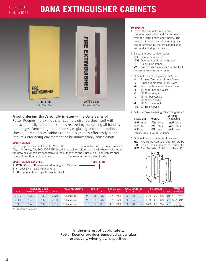### **DANA EXTINGUISHER CABINETS**



**A solid design that's solidly in-step** — The Dana Series of Potter Roemer fire extinguisher cabinets distinguishes itself with an exceptionally refined look that's realized by concealing all handles and hinges. Depending upon door style, glazing and other options chosen, a Dana Series cabinet can be designed to effortlessly blend into its surrounding environment or be unmistakably conspicuous.

#### **SPECIFICATION**

Fire extinguisher cabinet shall be Model No. \_\_\_\_\_\_\_\_\_\_ as manufactured by Potter Roemer, City of Industry, CA, 800-366-FIRE. Install the cabinets plumb and level, where indicated on the drawings, at heights acceptable to the authority having jurisdiction. Each cabinet shall have a Potter Roemer Model No. \_\_\_\_\_\_\_\_\_\_\_\_ fire extinguisher installed inside.

#### **SPECIFICATION EXAMPLE: 280--F--HB**

- **1 7280** Cabinet Dimensions, Mounting and Material  $\mathbf{I}$ **2 F** - Door Style - Duo-Vertical Panel
- **3 HB** Optional Lettering Horizontal Black -

#### **TO SPECIFY**

- **1** Select the cabinet dimensions, mounting style, door and frame material from the Dana Series chart below. The cabinet dimensions and mounting type are determined by the fire extinguisher size and wall depth available.
- **2** Select the desired door style: **-DV** Duo-Vertical Panel
	- **-DVL** Duo-Vertical Panel with Lock\*
	- **-F** Solid Flush Panel
	- **-FS** Solid Flush Panel with Cylinder Lock \*Furnished with Break Rite® Handle.
- 
- **3** Optional: Select the glazing material:
	- **-1** Bronze Tempered Safety Glass
	- **-2** Smoke Tempered Safety Glass **-4** Obscure Tempered Safety Glass
	-
	- **-5** <sup>1</sup> ⁄4" Wire Inserted Glass
	- **-6** <sup>1</sup> <sup>1</sup>/<sub>8</sub>" Clear Acrylic
	- **-7** <sup>1</sup> ⁄8" Amber Acrylic
	- **-8** <sup>1</sup> ⁄8" White Acrylic
	- **-9** <sup>1</sup> ⁄8" Smoke Acrylic
	- $-10$   $\frac{1}{8}$ " Red Acrylic

**4** Optional: Select lettering "Fire Extinguisher":

| Horizontal                                     | Vertical |              | Vertical<br>Ascending |              |
|------------------------------------------------|----------|--------------|-----------------------|--------------|
| -HW <sup>+</sup> White                         | -VW      | White        | -VAW                  | White        |
| $-HB^{\dagger}$ Black                          | -VB      | <b>Black</b> | -VAB                  | <b>Black</b> |
| $-HR^{\dagger}$ Red                            | -VR      | Red          | -VAR                  | Red          |
| <sup>†</sup> Not available on -A and -DV Doors |          |              |                       |              |

**5** Optional Construction and Finishes: **FRC-** Fire-Rated Cabinets, add this prefix. **-RR** Rolled Radius Frames, add this suffix. **-RED** Red Polyester Finish, add this suffix.



|              | <b>MODEL NUMBER</b> |                 |              | <b>WALL MOUNTING</b>                   |              | <b>BOX I.D.</b> |              | <b>FRAME O.D.</b> |                 |    | WALL OPFNING |                |                    | <b>FRC OPTION</b> |                |            | <b>FOR USE WITH</b><br><b>THESE</b> |
|--------------|---------------------|-----------------|--------------|----------------------------------------|--------------|-----------------|--------------|-------------------|-----------------|----|--------------|----------------|--------------------|-------------------|----------------|------------|-------------------------------------|
| <b>STEEL</b> | <b>ALUMINUM</b>     | STAINLESS STEEL | <b>BRASS</b> |                                        |              |                 |              |                   |                 |    |              |                |                    |                   |                | <b>ADA</b> | <b>EXTINGUISHERS</b>                |
| 7210         | 7230                | 7250            | 7270         | <sup>5</sup> / <sub>8</sub> Protrusion | 9            | 18              | $5^{3}/1$    | $11^{3}/_{4}$     | $20\frac{3}{4}$ | 10 | 19           | 6              | $11\frac{1}{4}$ 20 |                   | $6\frac{7}{8}$ |            | Yes 3002-3005-3                     |
| 7220         | 7240                | 7260            | 7280         | % Protrusion                           | $\mathsf{Q}$ | 24              | $5^{3}/_{4}$ | $11\frac{3}{4}$   | $26\frac{3}{4}$ | 10 | 25           | 6              | $11\frac{1}{4}$    | - 26              | $6\frac{7}{8}$ |            | Yes 3002 - 3310                     |
| 7225         | 7245                | '265            | 7285         | % Protrusion                           | 12           |                 |              | $14\frac{3}{4}$   | $29\frac{3}{4}$ | 13 | 28           | $8\frac{1}{4}$ | $14\frac{1}{4}$    | 29                | $9\frac{1}{8}$ | Yes        | 3202<br>3020 - 3410                 |

All Dimensions In Inches

In the interest of public safety, Potter Roemer provides tempered safety glass exclusively, when glass is specified.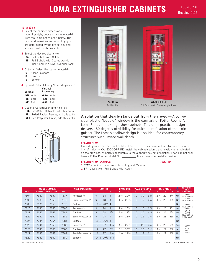## **LOMA EXTINGUISHER CABINETS**

10520/POT BuyLine 5126

#### **TO SPECIFY**

- **1** Select the cabinet dimensions, mounting style, door and frame material from the Loma Series chart below. The cabinet dimensions and mounting type are determined by the fire extinguisher size and wall depth available.
- **2** Select the desired door style:
	- **-BA** Full Bubble with Catch
	- **-BB** Full Bubble with Scored Acrylic Insert and Trip Lever Cylinder Lock
- **3** Optional: Select the glazing material:
	- **-6** Clear Colorless
	- **-7** Bronze
	- **-9** Smoke
- **4** Optional: Select lettering "Fire Extinguisher":

| Vertical |              | Vertical<br>Ascending |              |
|----------|--------------|-----------------------|--------------|
|          | -VW White    | -VAW White            |              |
| -VB      | <b>Black</b> | -VAB                  | <b>Black</b> |
| -VR      | Red          | -VAR                  | Red          |

- **5** Optional Construction and Finishes: **FRC-** Fire-Rated Cabinets, add this prefix.
	- **-RR** Rolled Radius Frames, add this suffix. **-RED** Red Polyester Finish, add this suffix.





A solution that clearly stands out from the crowd - A convex,

clear plastic "bubble" window is the earmark of Potter Roemer's Loma Series fire extinguisher cabinets. This ultra-practical design delivers 180 degrees of visibility for quick identification of the extinguisher. The Loma's shallow design is also ideal for contemporary structures with limited wall depth.

#### **SPECIFICATION**

Fire extinguisher cabinet shall be Model No. \_\_\_\_\_\_\_\_\_ as manufactured by Potter Roemer, City of Industry, CA, 800-366-FIRE. Install the cabinets plumb and level, where indicated on the drawings, at heights acceptable to the authority having jurisdiction. Each cabinet shall have a Potter Roemer Model No. \_\_\_\_\_\_\_\_\_\_\_ fire extinguisher installed inside.

#### **SPECIFICATION EXAMPLE: 7320--BA**

 $\Box$ 

- **1 7320** Cabinet Dimensions, Mounting and Material
- **2 BA** Door Style Full Bubble with Catch

| <b>STEEL</b> | <b>ALUMINUM</b> | <b>MODEL NUMBER</b><br><b>STAINLESS STEEL</b> | <b>BRASS</b> | <b>WALL MOUNTING</b> | K               | <b>BOX I.D.</b>                 | M              | N               | <b>FRAME O.D.</b><br>$\mathbf{0}$ | W  | <b>WALL OPENING</b><br>н | D              | W               | <b>FRC OPTION</b><br>H | D              | ъ.<br><b>ADA</b> | <b>FOR USE WITH</b><br><b>THESE</b><br><b>EXTINGUISHERS</b> |
|--------------|-----------------|-----------------------------------------------|--------------|----------------------|-----------------|---------------------------------|----------------|-----------------|-----------------------------------|----|--------------------------|----------------|-----------------|------------------------|----------------|------------------|-------------------------------------------------------------|
| 7307         | 7337            | 7357                                          | 7377         | $Recessed-1/2$       | 9               | 18                              | 4              | $11\frac{3}{4}$ | $20\frac{3}{4}$                   | 10 | 19                       | $3\frac{3}{4}$ | $11\frac{1}{4}$ | 20                     | $4\frac{5}{8}$ | Yes              | 3002<br>3005, 3005-3                                        |
| 7308         | 7338            | 7358                                          | 7378         | Semi-Recessed-2      | 9               | 18                              | 4              | $11\frac{3}{4}$ | $20\frac{3}{4}$                   | 10 | 19                       | $2\frac{1}{4}$ | $11\frac{1}{4}$ | 20                     | $3\frac{1}{8}$ | <b>No</b>        | 3302<br>3305, 3305-3                                        |
| 7309         | 7339            | 7359                                          | 7379         | Surface              | $11\frac{1}{2}$ | $20\frac{1}{2}$ 4               |                |                 |                                   |    |                          |                |                 |                        |                | <b>No</b>        | 3002                                                        |
| 7320         | 7340            | 7360                                          | 7380         | $Recessed-1/2$       | 9               | 24                              | 4              | $11\frac{3}{4}$ | $26\frac{3}{4}$                   | 10 | 25                       | $3\frac{3}{4}$ | $11\frac{1}{4}$ | 26                     | $4\frac{5}{8}$ | Yes              | 3005, 3005-3<br>3006                                        |
| 7321         | 7341            | 7361                                          | 7381         | <b>Trimless</b>      | 9               | 24                              | $4^{1/2}$      | $12\frac{3}{4}$ | $27^{3}/4$                        | 10 | 25                       | $4\frac{1}{4}$ | $11\frac{1}{4}$ | 26                     | $5\%$          | Yes              | 3010<br>3302                                                |
| 7322         | 7342            | 7362                                          | 7382         | Semi-Recessed-2      | 9               | 24                              | 4              | $11\frac{3}{4}$ | $26\frac{3}{4}$                   | 10 | 25                       | $2^{1/4}$      | $11\frac{1}{4}$ | 26                     | $3\frac{1}{8}$ | <b>No</b>        | 3305, 3305-3<br>3306, 3310                                  |
| 7324         | 7344            | 7364                                          | 7384         | Surface              | $11\frac{1}{2}$ | $26\frac{1}{2}$ 4               |                |                 |                                   |    |                          |                |                 |                        |                | <b>No</b>        |                                                             |
| 7325         | 7345            | 7365                                          | 7385         | $Recessed-1/2$       | 12              | 27                              | $4^{3}/4$      | $14\frac{1}{2}$ | $29\frac{1}{2}$                   | 13 | 28                       | $4\frac{1}{2}$ | $14\frac{1}{4}$ | 29                     | $5\frac{3}{8}$ | <b>Yes</b>       | 3020*                                                       |
| 7326         | 7346            | 7366                                          | 7386         | <b>Trimless</b>      | 12              | 27                              | $5\frac{1}{4}$ | $15\frac{1}{2}$ | $30\frac{1}{2}$                   | 13 | 28                       | $5\frac{1}{2}$ | 141/4           | 29                     | $6\frac{3}{8}$ | Yes              | 3202*<br>3320*                                              |
| 7327         | 7347            | 7367                                          | 7387         | Semi-Recessed-3      | 12              | 27                              | $4^{3}/4$      | $14\frac{1}{2}$ | $29\frac{1}{2}$                   | 13 | 28                       | 3              | $14\frac{1}{4}$ | 29                     | $2^{7}/8$      | <b>No</b>        | 3405                                                        |
| 7329         | 7349            | 7369                                          | 7389         | Surface              | $14\frac{1}{2}$ | $29\frac{1}{2}$ 4 $\frac{3}{4}$ |                |                 |                                   |    |                          |                |                 |                        |                | Yes              |                                                             |

All Dimensions In Inches

\*Add 1" to M & D Dimensions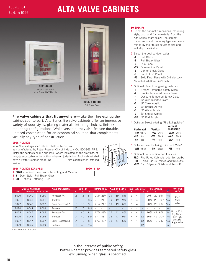### **ALTA VALVE CABINETS**



**Fire valve cabinets that fit anywhere** — Like their fire extinguisher cabinet counterpart, Alta Series fire valve cabinets offer an impressive variety of door styles, glazing materials, lettering choices, finishes and mounting configurations. While versatile, they also feature durable, unitized construction for an economical solution that complements virtually any type of construction.

#### **SPECIFICATION**

Valve/Fire extinguisher cabinet shall be Model No.

as manufactured by Potter Roemer, City of Industry, CA, 800-366-FIRE. Install the cabinets plumb and level, where indicated on the drawings, at heights acceptable to the authority having jurisdiction. Each cabinet shall have a Potter Roemer Model No. \_\_\_\_\_\_\_\_\_\_\_ fire extinguisher installed inside.

#### **SPECIFICATION EXAMPLE: 8020--B--RH**

- **1 8020** Cabinet Dimensions, Mounting and Material
- **2 B** Door Style Full Break Glass
- **3 RH** Optional Lettering Red

#### **TO SPECIFY**

- **1** Select the cabinet dimensions, mounting style, door and frame material from the Alta Series chart below. The cabinet dimensions and mounting type are determined by the fire extinguisher size and wall depth available.
- **2** Select the desired door style:
	- **-A** Full Glass
	- **-B** Full Break Glass\*
	- **-D** Duo Panel
	- **-DV** Duo-Vertical Panel
	- **-E** Center Break Glass
	- **-F** Solid Flush Panel

**-FS** Solid Flush Panel with Cylinder Lock \*Furnished with Break Rite® Handle.

- **3** Optional: Select the glazing material:
	-
	- **-1** Bronze Tempered Safety Glass **Smoke Tempered Safety Glass**
	- **-4** Obscure Tempered Safety Glass
	- **-5** <sup>1</sup> ⁄4" Wire Inserted Glass
	- **-6** <sup>1</sup> ⁄8" Clear Acrylic
	- **-7** <sup>1</sup> ⁄8" Bronze Acrylic
	- **-8** <sup>1</sup> ⁄8" White Acrylic
	- **-9** <sup>1</sup> ⁄8" Smoke Acrylic
	- **-10** <sup>1</sup> ⁄8" Red Acrylic

**4** Optional: Select lettering "Fire Extinguisher"

**Vertical** 

| Horizontal             | Vertical            | VEILILAI<br>Ascending |
|------------------------|---------------------|-----------------------|
| -HW <sup>†</sup> White | -VW White           | -VAW<br>White         |
| $-HB$ Black            | -VB<br><b>Black</b> | -VAB<br><b>Black</b>  |
| -HR<br>Red             | -VR<br>Red          | -VAR<br>Red           |

**5** Optional: Select lettering "Fire Dept. Valve": **-WH** White **-BH** Black **-RH** Red

**6** Optional Construction and Finishes: **FRC-** Fire-Rated Cabinets, add this prefix. **-RR** Rolled Radius Frames, add this suffix. **-RED** Red Polyester Finish, add this suffix.

|              | <b>MODEL NUMBER</b> |                        | <b>MOUNTING</b><br>WALL |    | <b>BOX I.D.</b> |                | MF.                                | NAI | OPE | JING           | INLET |                          | FRC.            | <b>OPTION</b> |                 | $\frac{1}{\text{ADA}}$ | <b>FOR USE</b><br><b>WITH</b>       |
|--------------|---------------------|------------------------|-------------------------|----|-----------------|----------------|------------------------------------|-----|-----|----------------|-------|--------------------------|-----------------|---------------|-----------------|------------------------|-------------------------------------|
| <b>STEEL</b> | <b>ALUMINUM</b>     | <b>STAINLESS STEEL</b> |                         | к  |                 |                |                                    |     |     |                |       | Z-Z                      | W               | н.            | D               |                        |                                     |
| 8020         | 8040                | 8060                   | Recessed-%              | 18 | 18              | 8              | $21\frac{3}{4}$<br>$21\frac{3}{4}$ | 19  | 19  | $8\frac{1}{2}$ | 9     | $\overline{\phantom{a}}$ | $20\frac{1}{4}$ | 20            | $9\frac{3}{4}$  | <b>Yes</b>             | $2^{1/2}$                           |
| 8021         | 8041                | 8061                   | <b>Trimless</b>         | 18 | 18              | $8^{3}/4$      | 21<br>21                           | 19  | 19  | $9\frac{1}{4}$ | 9     | $\overline{\phantom{a}}$ | $20\frac{1}{4}$ | 20            | $10\frac{1}{2}$ | Yes                    | Angle                               |
| 8022         | 8042                | 8062                   | Semi-Recessed-2         | 18 | 18              | 8              | $21\frac{1}{2}$<br>$21\frac{1}{2}$ | 19  | 19  | $6\frac{1}{2}$ | 9     | $\overline{\phantom{a}}$ | $20\frac{1}{4}$ | 20            | $7\frac{3}{4}$  | Yes                    | Valve                               |
| 8024         | 8044                | 8064                   | Surface                 | 20 | 20              | $9\frac{1}{4}$ |                                    |     |     |                |       |                          |                 |               |                 | <b>No</b>              |                                     |
| 8025         | 8045                | 8065                   | Recessed-%              | 14 | 40              | 8              | $17^{3}/_{4}$<br>$43^{3}/_{4}$     | 15  | 41  | $8\frac{1}{2}$ |       | 12                       | 16¼             |               | 42 9 3/4        | Yes                    | Up to 20 lb.<br>Dry Chem.           |
| 8026         | 8046                | 8066                   | <b>Trimless</b>         | 14 | 40              | $8^{3}/4$      | 43<br>17                           | 15  | 41  | $9\frac{1}{4}$ |       | 12                       | 16 1/4          | 42            | $10\frac{1}{2}$ | Yes                    | Fire Ext.                           |
| 8027         | 8047                | 8067                   | Semi-Recessed-3         | 14 | 40              | 8              | $17\frac{1}{2}$<br>$43\frac{1}{2}$ | 15  | 41  | $6\frac{1}{2}$ |       | 12                       | 161⁄4           | 42            | $7\frac{3}{4}$  | Yes                    | and $2\frac{1}{2}$ "<br>Angle Valve |
| 8029         | 8049                | 8069                   | Surface                 | 16 | 42              | $9\frac{1}{4}$ |                                    |     |     |                |       | 12                       |                 |               |                 | <b>No</b>              |                                     |

All Dimensions In Inches

In the interest of public safety, Potter Roemer provides tempered safety glass exclusively, when glass is specified.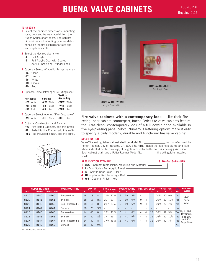### **BUENA VALVE CABINETS**

10520/POT BuyLine 5126

#### **TO SPECIFY**

- **1** Select the cabinet dimensions, mounting style, door and frame material from the Buena Series chart below. The cabinet dimensions and mounting type are determined by the fire extinguisher size and wall depth available.
- **2** Select the desired door style:
	- **-A** Full Acrylic Door
	- **-E** Full Acrylic Door with Scored Acrylic Insert and Cylinder Lock
- **3** Optional: Select 1/4" acrylic glazing material:
	- **-16** Clear
	- **-17** Bronze
	- **-18** White
	- **-19** Smoke
	- **-20** Red
- **4** Optional: Select lettering "Fire Extinguisher"

|     | Horizontal             | Vertical |              | Vertical<br>Ascending |              |  |  |  |  |  |
|-----|------------------------|----------|--------------|-----------------------|--------------|--|--|--|--|--|
|     | -HW <sup>†</sup> White | -VW      | White        | -VAW                  | White        |  |  |  |  |  |
| -HB | <b>Black</b>           | -VB      | <b>Black</b> | -VAB                  | <b>Black</b> |  |  |  |  |  |
| -HR | Red                    | -VR      | Red          | -VAR                  | Red          |  |  |  |  |  |

**5** Optional: Select lettering "Fire Dept. Valve": **-WH** White **-BH** Black **-RH** Red

**6** Optional Construction and Finishes:

**FRC-** Fire-Rated Cabinets, add this prefix. **-RR** Rolled Radius Frames, add this suffix. **-RED** Red Polyester Finish, add this suffix.





**Fire valve cabinets with a contemporary look** — Like their fire extinguisher cabinet counterpart, Buena Series fire valve cabinets feature the ultra-clean, contemporary look of a full acrylic door, available in five eye-pleasing panel colors. Numerous lettering options make it easy to specify a truly modern, durable and functional fire valve cabinet.

#### **SPECIFICATION**

Valve/Fire extinguisher cabinet shall be Model No. \_\_\_\_\_\_\_\_\_\_\_\_\_\_\_\_ as manufactured by Potter Roemer, City of Industry, CA, 800-366-FIRE. Install the cabinets plumb and level, where indicated on the drawings, at heights acceptable to the authority having jurisdiction. Each cabinet shall have a Potter Roemer Model No. \_\_\_\_\_\_\_\_\_\_ fire extinguisher installed inside.

#### **SPECIFICATION EXAMPLE: 8120--A--16--RH--RED**

- **1 8120** Cabinet Dimensions, Mounting and Material
- **2 A** Door Style Full Acrylic Panel
- **3 16** Acrylic Door Color Clear
- **4 RH** Optional Red Lettering Red
- **5 Red** Optional Finish Red

|              | <b>MODEL NUMBER</b> |                        | <b>WALL MOUNTING</b> |    | <b>BOX I.D.</b> |                | <b>FRAME O.D</b>                   | WALL |    | . OPENING'     | INLET |   | 'Loc. Shelf              |                 | <b>FRC OPTION</b> |                                   | 占          | <b>FOR USE</b>                      |
|--------------|---------------------|------------------------|----------------------|----|-----------------|----------------|------------------------------------|------|----|----------------|-------|---|--------------------------|-----------------|-------------------|-----------------------------------|------------|-------------------------------------|
| <b>STEEL</b> | <b>ALUMINUM</b>     | <b>STAINLESS STEEL</b> |                      | K  |                 |                |                                    |      |    |                |       |   | $2 - 7$                  |                 | н                 | D                                 | <b>ADA</b> | <b>WITH</b>                         |
| 8120         | 8140                | 8160                   | Recessed-%           | 18 | 18              | 8              | $21\frac{3}{4}$ $21\frac{3}{4}$    | 19   | 19 | $8\frac{1}{2}$ | 4     | ٠ | $\overline{a}$           | $20\frac{1}{4}$ | 20                | $9^{3}/_{4}$                      | Yes        | $2^{1/2}$                           |
| 8121         | 8141                | 8161                   | <b>Trimless</b>      | 18 | 18              | $8\frac{3}{4}$ | 21<br>21                           | 19   | 19 | $9\frac{1}{4}$ | 9     | 4 | $\overline{\phantom{a}}$ | $20\frac{1}{4}$ | 20                | $10\frac{1}{2}$                   | Yes        | Angle                               |
| 8122         | 8142                | 8162                   | Semi-Recessed-2      | 18 | 18              | 8              | $21\frac{1}{2}$ $21\frac{1}{2}$    | 19   | 19 | $6\frac{1}{2}$ | 9     | 4 | $\overline{\phantom{a}}$ | $20\frac{1}{4}$ | 20                | $7\frac{3}{4}$                    | Yes        | Valve                               |
| 8124         | 8144                | 8164                   | Surface              | 20 | 20              | $9\frac{1}{4}$ |                                    |      |    |                |       |   |                          |                 |                   |                                   | <b>No</b>  |                                     |
| 8125         | 8145                | 8165                   | Recessed-%           | 14 | 40              | 8              | $17\frac{3}{4}$<br>$43\frac{3}{4}$ | -15  | 41 | $8\frac{1}{2}$ | 4     | 4 | 12                       | 16¼             |                   | 42 93/4                           | Yes        | Up to 20 lb.<br>Dry Chem.           |
| 8126         | 8146                | 8166                   | <b>Trimless</b>      | 14 | 40              | $8\frac{3}{4}$ | 17<br>43                           | 15   | 41 | $9\frac{1}{4}$ | 4     | 4 | 12                       | 161⁄4           |                   | 42 10 <sup>1</sup> / <sub>2</sub> | Yes        | Fire Ext.                           |
| 8127         | 8147                | 8167                   | Semi-Recessed-3      | 14 | 40              | 8              | $17\frac{1}{2}$<br>$43\frac{1}{2}$ | 15   | 41 | $6\frac{1}{2}$ | 4     |   | 12                       | L6 ¼            |                   | 42 7 3/4                          | Yes        | and $2\frac{1}{2}$ "<br>Angle Valve |
| 8129         | 8149                | 8169                   | Surface              | 16 | 42              | $9\frac{1}{4}$ | ٠                                  |      |    |                |       |   |                          |                 |                   |                                   | <b>No</b>  |                                     |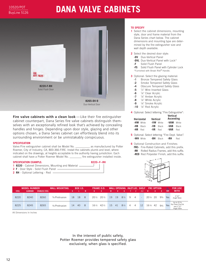### **DANA VALVE CABINETS**



**Fire valve cabinets with a clean look** — Like their fire extinguisher cabinet counterpart, Dana Series fire valve cabinets distinguish themselves with an exceptionally refined look that's achieved by concealing handles and hinges. Depending upon door style, glazing and other options chosen, a Dana Series cabinet can effortlessly blend into its surrounding environment or be unmistakably conspicuous.

#### **SPECIFICATION**

Valve /Fire extinguisher cabinet shall be Model No. \_\_\_\_\_\_\_\_\_\_\_ as manufactured by Potter Roemer, City of Industry, CA, 800-366-FIRE. Install the cabinets plumb and level, where indicated on the drawings, at heights acceptable to the authority having jurisdiction. Each cabinet shall have a Potter Roemer Model No. \_\_\_\_\_\_\_\_\_ fire extinguisher installed inside.

#### **SPECIFICATION EXAMPLE: 8220--F--RH**

| <b>1 8220</b> - Cabinet Dimensions, Mounting and Material — |
|-------------------------------------------------------------|
| <b>2 F</b> - Door Style - Solid Flush Panel —               |
| <b>2 RH</b> - Optional Lettering - Red $-$                  |

#### **TO SPECIFY**

- **1** Select the cabinet dimensions, mounting style, door and frame material from the Dana Series chart below. The cabinet dimensions and mounting type are determined by the fire extinguisher size and wall depth available.
- **2** Select the desired door style:
	- **-DV** Duo-Vertical Panel
	- **-DVL** Duo-Vertical Panel with Lock\*
	- **-F** Solid Flush Panel
	- **-FS** Solid Flush Panel with Cylinder Lock \*Furnished with Break Rite® Handle.
- **3** Optional: Select the glazing material:
	- **-1** Bronze Tempered Safety Glass
	- **-2** Smoke Tempered Safety Glass
	- **-4** Obscure Tempered Safety Glass
	- **-5** <sup>1</sup> ⁄4" Wire Inserted Glass
	- **-6** <sup>1</sup> <sup>1</sup>/<sub>8</sub>" Clear Acrylic
	- **-7** <sup>1</sup> ⁄8" Amber Acrylic
	- **-8** <sup>1</sup> ⁄8" White Acrylic
	- **-9** <sup>1</sup> ⁄8" Smoke Acrylic
	- $-10$   $\frac{1}{8}$ " Red Acrylic

**4** Optional: Select lettering "Fire Extinguisher":

| Horizontal   | Vertical     | Vertical<br><b>Ascending</b> |
|--------------|--------------|------------------------------|
| -HW White    | -VW<br>White | -VAW<br>White                |
| -HB          | -VB          | -VAB                         |
| <b>Black</b> | <b>Black</b> | <b>Black</b>                 |
| -HR          | -VR          | -VAR                         |
| Red          | Red          | Red                          |

**5** Optional: Select lettering "Fire Dept. Valve": **-WH** White **-BH** Black **-RH** Red

**6** Optional Construction and Finishes: **FRC-** Fire-Rated Cabinets, add this prefix. **-RR** Rolled Radius Frames, add this suffix. **-RED** Red Polyester Finish, add this suffix.



|              | <b>MODEL NUMBER</b> |                 | <b>WALL MOUNTING</b> |    | <b>BOX I.D.</b> |      | <b>FRAME O.D.</b> |                 |    |    |                |                |                | WALL OPENING INLETLOC. SHELF |                 | <b>FRC OPTION</b> |              |     | <b>FOR USE</b>                                                             |
|--------------|---------------------|-----------------|----------------------|----|-----------------|------|-------------------|-----------------|----|----|----------------|----------------|----------------|------------------------------|-----------------|-------------------|--------------|-----|----------------------------------------------------------------------------|
| <b>STEEL</b> | <b>ALUMINUM</b>     | STAINLESS STEEL |                      |    |                 | r M. |                   |                 |    |    |                |                |                | $Z - Z$                      | <b>AWZ</b>      |                   |              | ADÂ | <b>WITH</b>                                                                |
| 8220         | 8240                | 8260            | 5/8 Protrusion       | 18 | 18              | 8    | $20\frac{1}{2}$   | $20\frac{1}{2}$ | 19 | 19 | $8\frac{1}{2}$ | 9              | 4              | $\sim$                       | $20\frac{1}{4}$ | 20                | $9^{3}/_{4}$ | Yes | $2 \frac{1}{2}$ "<br>Angle Valve                                           |
| 8225         | 8245                | 8265            | 5/8 Protrusion       | 14 | 40              | 8    | 16½               | $42\frac{1}{2}$ | 15 | 41 | $8\frac{1}{2}$ | $\overline{a}$ | $\overline{4}$ | 12 <sup>°</sup>              | 16¼             | 42                | $9^{3}/_{4}$ | Yes | Up to 20 lb.<br>Dry Chem. Fire Ext.<br>and $2\frac{1}{2}$ "<br>Angle Valve |

All Dimensions In Inches

In the interest of public safety, Potter Roemer provides tempered safety glass exclusively, when glass is specified.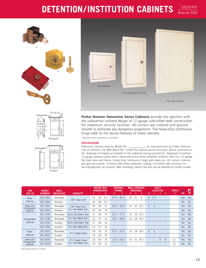# **DETENTION/INSTITUTION CABINETS**

10520/POT BuyLine 5126









**Potter Roemer Detention Series Cabinets** provide the specifier with the substantial unitized design of 12 gauge cold-rolled steel construction for *maximum security* facilities. All corners are mitered and ground smooth to eliminate any dangerous projections. The heavy-duty continuous hinge adds to the secure features of these cabinets.

\*Security locks provided as specified.

#### **SPECIFICATION**

Detention Cabinet shall be Model No. **Example 2** as manufactured by Potter Roemer, City of Industry, CA, 800-366-FIRE. Install the cabinet plumb and level, where indicated on the drawings at heights acceptable to the authority having jurisdiction. Regularly furnished: 12 gauge powder-coated with a thermally-fused white polyester finished steel box, 12 gauge flat steel door and frame. Heavy-duty continuous hinge with brass pin. All corners mitered and ground smooth. Finished with white polyester coating. Furnished with provision for security-type lock, as required. Wall mounting, cabinet size and use as selected by model number.

| <b>FOR</b><br><b>USE AS</b> | <b>MODEL</b><br><b>NUMBER</b> | <b>WALL</b><br><b>MOUNTING</b> | <b>CAPACITY</b>                  | K. | <b>INSIDE BOX</b><br><b>DIMENSIONS</b> | M              | N                              | <b>OVERALL</b><br><b>FRAME</b><br>$\mathbf{0}$ | W  | <b>REQUIRED</b> | <b>WALL OPENING</b><br>D | W              | <b>LOCATION</b> | <b>INLET</b> |                | <b>SHELF</b><br>$Z-Z$    | 占<br><b>ADA</b> | Ø<br><b>FRC</b> |
|-----------------------------|-------------------------------|--------------------------------|----------------------------------|----|----------------------------------------|----------------|--------------------------------|------------------------------------------------|----|-----------------|--------------------------|----------------|-----------------|--------------|----------------|--------------------------|-----------------|-----------------|
| Hose                        | DC-1002                       | Recessed                       | 100' Hose Unit                   | 24 | 30                                     | $5\frac{1}{2}$ | $27\frac{3}{4}$                | $33\frac{3}{4}$                                | 25 | 31              | 6                        | 4              | $2^{3/4}$       |              |                | $\overline{\phantom{a}}$ | <b>Yes</b>      | Yes             |
| Cabinet                     | DC-1052                       | Surface                        |                                  | 24 | 30                                     | $5\frac{1}{2}$ |                                |                                                |    |                 |                          |                |                 |              |                | $\sim$                   | N <sub>o</sub>  | <b>No</b>       |
| Hose and                    | DC-1302                       | Recessed                       | 100' Hose Unit.                  | 30 | 30                                     | 8              | $33\frac{3}{4}$                | $33\frac{3}{4}$                                | 31 | 31              | $8\frac{1}{2}$           | $\overline{4}$ | 4               |              |                | ٠                        | <b>Yes</b>      | Yes             |
| Extinguisher<br>Cabinet     | DC-1352                       | Surface                        | $2\frac{1}{2}$ Gal. Water Ext.   | 30 | 30                                     | 8              |                                |                                                |    |                 |                          |                |                 |              |                | $\overline{\phantom{a}}$ | <b>No</b>       | <b>No</b>       |
|                             | DC-1704                       | Recessed                       | 10 Lb. Dry Chem. Ext.            | 9  | 24                                     | 8              | $12\frac{3}{4}$                | $27\frac{3}{4}$                                | 10 | 25              | $8\frac{1}{2}$           |                |                 |              |                | $\overline{\phantom{a}}$ | <b>Yes</b>      | Yes             |
| Extinguisher                | DC-1706                       | Recessed                       | 21/2 Gal. Water Ext.             | 12 | 27                                     | 8              | $15\frac{3}{4}$                | $30\frac{3}{4}$                                | 13 | 28              | $8\frac{1}{2}$           |                |                 |              |                | $\overline{\phantom{a}}$ | <b>Yes</b>      | Yes             |
| Cabinet                     | DC-1754                       | Surface                        | 10 Lb. Dry Chem. Ext.            | 9  | 24                                     | 8              |                                |                                                |    |                 |                          |                |                 |              |                | $\overline{\phantom{a}}$ | <b>No</b>       | <b>No</b>       |
|                             | DC-1756                       | Surface                        | 21/2 Gal. Water Ext.             | 12 | 27                                     | 8              |                                |                                                |    |                 |                          |                |                 |              |                | $\overline{\phantom{a}}$ | <b>No</b>       | <b>No</b>       |
| Valve                       | DC-1810                       | Recessed                       |                                  | 18 | 18                                     | 8              | $21\frac{3}{4}$                | $21\frac{3}{4}$                                | 19 | 19              | $8\frac{1}{2}$           | 9              | $\overline{4}$  |              |                | ٠                        | <b>Yes</b>      | Yes             |
| Cabinet                     | DC-1815                       | Surface                        | $2^{1/2}$ " Angle Valve          | 18 | 18                                     | 8              |                                |                                                |    |                 |                          |                |                 |              |                | ٠                        | <b>No</b>       | <b>No</b>       |
| Valve and                   | DC-1870                       | Recessed                       | $2\frac{1}{2}$ " Angle Valve     | 14 | 40                                     | 8              | 17 <sup>3</sup> / <sub>4</sub> | $43\frac{3}{4}$                                | 15 | 41              | $8\frac{1}{2}$           |                |                 | 4            | $\overline{4}$ | 12                       | Yes             | <b>Yes</b>      |
| Extinguisher<br>Cabinet     | DC-1875                       | Surface                        | $2\frac{1}{2}$ " Gal. Water Ext. | 14 | 40                                     | 8              |                                |                                                |    |                 |                          |                |                 |              |                | 12                       | <b>No</b>       | <b>No</b>       |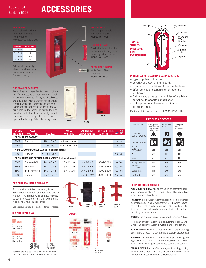### 10520/POT BuyLine 5126

### **ACCESSORIES**



Additional handle styles, alarms and security features available. Please specify.

#### **FIRE BLANKET CABINETS**

Potter Roemer offers fire blanket cabinets in different styles to meet varying installation requirements. All styles of cabinets are equipped with a woven fire blanket treated with fire resistant chemicals. Cabinets are constructed from heavyduty cold-rolled steel for durability and powder-coated with a thermally-fused recoatable red polyester finish with optional lettering. Select lettering below.



医

Chrome pull handle with roller catch. **MODEL NO. 1905**

Cast aluminum handle, red enamel finish, raised lettering, with roller catch. **MODEL NO. 1907**

**BREAK RITE** ® **HANDLE** With Break Glass Cabinets. **MODEL NO. BR04**



| <b>MODEL</b><br><b>NUMBER</b>                         | <b>WALL</b><br><b>MOUNTING</b>                                  | <b>BOX I.D.</b>                                         | <b>WALL</b><br><b>OPENING</b> | <b>EXTINGUISHER</b><br><b>COMPARTMENT SIZE</b> | <b>FOR USE WITH THESE</b><br><b>EXTINGUISHERS</b> | ረት.<br><b>ADA</b> | FRC |  |  |  |
|-------------------------------------------------------|-----------------------------------------------------------------|---------------------------------------------------------|-------------------------------|------------------------------------------------|---------------------------------------------------|-------------------|-----|--|--|--|
|                                                       | <b>FIRE BLANKET CABINET</b>                                     |                                                         |                               |                                                |                                                   |                   |     |  |  |  |
| 6601                                                  | Surface                                                         | $15 \times 10 \times 5$                                 | Includes blanket              |                                                |                                                   | No No             |     |  |  |  |
| 6602                                                  |                                                                 | 60 x 90                                                 | Fire blanket only             |                                                |                                                   | No No             |     |  |  |  |
| <b>WRAP-AROUND BLANKET CABINET (Includes blanket)</b> |                                                                 |                                                         |                               |                                                |                                                   |                   |     |  |  |  |
| 6603                                                  | Surface                                                         | $70\frac{1}{2} \times 5\frac{1}{4} \times 4\frac{1}{2}$ |                               |                                                |                                                   | No No             |     |  |  |  |
|                                                       | <b>FIRE BLANKET AND EXTINGUISHER CABINET (Includes blanket)</b> |                                                         |                               |                                                |                                                   |                   |     |  |  |  |
| 6605                                                  | Recessed-%                                                      | $14 \times 40 \times 8$                                 | $15 \times 41 \times 8$       | $14 \times 28 \times 8$                        | 3002-3020                                         | Yes Yes           |     |  |  |  |
| 6606                                                  | <b>Trimless</b>                                                 | $14 \times 40 \times 8$                                 | $15 \times 41 \times 9$       | $14 \times 28 \times 8$                        | 3002-3252                                         | Yes Yes           |     |  |  |  |
| 6607                                                  | Semi-Recessed                                                   | $14 \times 40 \times 8$                                 | $15 \times 41 \times 6$       | $14 \times 28 \times 8$                        | 3002-3320                                         | Yes Yes           |     |  |  |  |
| 6609                                                  | Surface                                                         | $16 \times 42 \times 9\frac{1}{2}$                      |                               | $16 \times 30 \times 9\frac{1}{2}$             | 3002-3410                                         | No No             |     |  |  |  |

#### **OPTIONAL MOUNTING BRACKETS**

For use with portable fire extinguishers when additional security is required due to vibration. Furnished with 16 gauge glossy polyester coated steel bracket with springtype band and/or rubber strap.

See extinguisher chart on page 15 for specification. **3903**

#### **DIE CUT LETTERING**



Reverse die cut lettering available by adding suffix "**R**" before model numbers shown above



#### **LABELS**





#### **PRINCIPLES OF SELECTING EXTINGUISHERS:**

- Type of potential fire hazard.
- Severity of potential fire hazard.
- Environmental conditions of potential fire hazard.
- Effectiveness of extinguisher on potential fire hazard.
- Training and physical capabilities of available personnel to operate extinguisher.
- Upkeep and maintenance requirements of extinguisher.

For further information, refer to NFPA 10–1999 edition.

|                                    | <b>FIRE CLASSIFICATIONS</b>                                         |                       |                                     |
|------------------------------------|---------------------------------------------------------------------|-----------------------|-------------------------------------|
| <b>TYPE OF FIRE</b>                | Wood, paper,<br>cloth, trash and<br>other ordinary<br>combustibles. | Flammable<br>liquids. | Energized<br>electric<br>equipment. |
| CLASS AND<br><b>I FTTFR SYMBOL</b> |                                                                     | B                     |                                     |
| PICTURE SYMBOL<br><b>AGENTS</b>    |                                                                     |                       |                                     |
| Multi-Purpose<br>Dry Chemical      | <b>Yes</b>                                                          | Yes                   | Yes                                 |
| Water                              | Yes                                                                 | <b>No</b>             | No                                  |
| <b>FFFP</b>                        | Yes                                                                 | Yes                   | No                                  |
| <b>BC Dry Chemical</b>             | No                                                                  | Yes                   | Yes                                 |
| Purple K<br>Dry Chemical           | No                                                                  | <b>Yes</b>            | Yes                                 |
| Carbon Dioxide                     | No                                                                  | <b>Yes</b>            | Yes                                 |
| Halotron 1                         | Yes                                                                 | Yes                   | Yes                                 |

#### **EXTINGUISHING AGENTS**

**ABC MULTI-PURPOSE** dry chemical is an effective agent in extinguishing class A, B, and C fires. The agent base is ammonium phosphate.

HALOTRON 1 is a "Clean Agent" HydroChloroFluoro-Carbon, discharged as a rapidly evaporating liquid, which leaves no residue. It effectively extinguishes Class A, B and C fires by cooling and smothering, and it will not conduct electricity back to the user.

**WATER** is an effective agent in extinguishing class A fires.

**FFFP** is an effective agent in extinguishing class A and B fires. Superior to water in wetting and penetration.

**BC DRY CHEMICAL** is an effective agent in extinguishing class B and C fires. The agent base is sodium bicarbonate.

**PURPLE-K** dry chemical is an effective agent in extinguishing class B and C fires. It is more effective than conventional agents. The agent base is potassium bicarbonate.

**CARBON DIOXIDE** is an effective agent in extinguishing class B and C fires. It will neither contaminate nor leave residue on materials which it extinguishes.

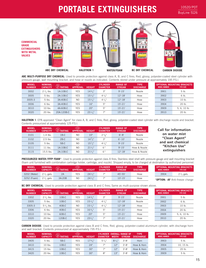### **PORTABLE EXTINGUISHERS**

10520/POT BuyLine 5126



**ABC MULTI-PURPOSE DRY CHEMICAL**: Used to provide protection against class A, B, and C fires; Red, glossy, polyester-coated steel cylinder with pressure gauge, wall mounting bracket, and hose or nozzle as indicated. Contents stored under pressure at approximately 195 P.S.I.

| <b>MODEL</b><br><b>NUMBER</b> | <b>NOMINAL</b><br><b>CAPACITY</b> | $\circledast$<br><b>RATING</b> | ≤FM><br><b>APPROVAL</b> | <b>HEIGHT</b>    | <b>CYLINDER</b><br><b>DIAMETER</b> | <b>RANGE OF</b><br><b>STREAM</b> | <b>TYPE</b><br><b>DISCHARGE</b> | <b>MODEL NUMBER</b> | <b>OPTIONAL MOUNTING BRACKETS</b><br><b>FITS SIZE</b> |
|-------------------------------|-----------------------------------|--------------------------------|-------------------------|------------------|------------------------------------|----------------------------------|---------------------------------|---------------------|-------------------------------------------------------|
| 3002                          | $2\frac{1}{2}$ lbs.               | 1A:10B:C                       | <b>YES</b>              | 143/7            | 3"                                 | $9' - 15'$                       | Nozzle                          | 3901                | 5 lb.                                                 |
| 3005                          | $5$ lbs.                          | 2A:10B:C                       | <b>YES</b>              | $15\frac{1}{4}$  | $4^{1/4}$                          | $12 - 18'$                       | Hose                            | 3902                | 6 lb.                                                 |
| 3005-3                        | $5$ lbs.                          | 3A:40B:C                       | N <sub>O</sub>          | $15\frac{1}{4}$  | $4^{1/4}$                          | $12 - 18'$                       | Hose                            | 3903                | 10 lb.                                                |
| 3006                          | 6 lbs.                            | 3A:40B:C                       | <b>YES</b>              | 16"              | 5"                                 | $15' - 21'$                      | Hose                            | 3904                | 20 lb.                                                |
| 3010                          | 10 lbs.                           | 4A:60B:C                       | <b>YES</b>              | 20"              | 5"                                 | $15' - 21'$                      | Hose                            | 3909                | 5, 6, 10 lb.                                          |
| 3020                          | 20 lbs.                           | 20A:120B:C                     | <b>YES</b>              | $23 \frac{1}{4}$ | 71                                 | $15 - 21'$                       | Hose                            | 3910                | 20 lb.                                                |

**HALOTRON 1**: EPA approved "Clean Agent" for class A, B, and C fires; Red, glossy, polyester-coated steel cylinder with discharge nozzle and bracket. Contents pressurized at approximately 125 P.S.I.

| <b>MODEL</b><br><b>NUMBER</b> | <b>NOMINAL</b><br><b>CAPACITY</b> | U)<br>®<br><b>RATING</b> | FM<br><b>APPROVAL</b> | <b>HEIGHT</b>   | <b>CYLINDER</b><br><b>DIAMETER</b> | <b>RANGE OF</b><br><b>STREAM</b> | <b>TYPE</b><br><b>DISCHARGE</b> |
|-------------------------------|-----------------------------------|--------------------------|-----------------------|-----------------|------------------------------------|----------------------------------|---------------------------------|
| 3101                          | $1.4$ lbs.                        | 1B:C                     | NO.                   | 10"             | $27\frac{1}{8}$                    | $6' - 8'$                        | Nozzle                          |
| 3102                          | $2.5$ lbs.                        | 2B:C                     | N <sub>O</sub>        | $14^{3}/$ "     | 3"                                 | $6' - 10'$                       | Nozzle                          |
| 3105                          | $5$ lbs.                          | 5B:C                     | NO.                   | $15\frac{1}{4}$ | $4^{1/2}$                          | $9' - 15'$                       | Nozzle                          |
| 3111                          | 11 lbs.                           | 1A:10B:C                 | N <sub>O</sub>        | $21\frac{1}{2}$ | 6"                                 | $9' - 15'$                       | Hose & Nozzle                   |
| 3115                          | 15.5 lbs.                         | 2A:10B:C                 | NO.                   | $21\frac{1}{2}$ | 6"                                 | $12 - 18'$                       | Hose & Nozzle                   |

### **Call for information on water mist "Clean Agent" and wet chemical "Kitchen Use" extinguishers**

**PRESSURIZED WATER / FFFP FOAM**\*: Used to provide protection against class A fires; Stainless steel shell with pressure gauge and wall mounting bracket (foam unit furnished with combination cartridge holder, cartridge, and nozzle). Shipped empty, to be charged at destination by authorized personnel.

| MODEL<br><b>NUMBER</b> | <b>NOMINAL</b><br><b>CAPACITY</b> | <b>BURATING</b> | (FM)<br><b>APPROVAL</b> | <b>HEIGHT</b>   | <b>CYLINDER</b><br><b>DIAMETER</b> | <b>RANGE OF</b><br><b>STREAM</b> | <b>TYPE</b><br><b>DISCHARGE</b> | <b>MODEL NUMBER</b> | <b>OPTIONAL MOUNTING BRACKETS</b><br><b>FITS SIZE</b> |
|------------------------|-----------------------------------|-----------------|-------------------------|-----------------|------------------------------------|----------------------------------|---------------------------------|---------------------|-------------------------------------------------------|
| 3202 (Water)           | $2\frac{1}{2}$ gals.              | 2A              | <b>YES</b>              | $24\frac{1}{2}$ |                                    | $45 - 55$                        | Hose                            | 3904                | $2\frac{1}{2}$ gals.                                  |
| 3252 (Foam)            | $2^{1/2}$ gals.                   | 3A:20B          | NO                      | $24\frac{1}{2}$ |                                    | $10 - 15'$                       | Hose                            |                     | * <b>OPTION: -AF</b> Anti-freeze charge               |

**BC DRY CHEMICAL:** Used to provide protection against class B and C fires; Same as multi-purpose shown above.

| <b>MODEL</b><br><b>NUMBER</b> | <b>NOMINAL</b><br><b>CAPACITY</b> | $\bigcirc \hspace{-3.08cm}\bigcirc$<br><b>RATING</b> | KFM<br><b>APPROVAL</b> | <b>HEIGHT</b>   | <b>CYLINDER</b><br><b>DIAMETER</b> | <b>RANGE OF</b><br><b>STREAM</b> | <b>TYPE</b><br><b>DISCHARGE</b> |
|-------------------------------|-----------------------------------|------------------------------------------------------|------------------------|-----------------|------------------------------------|----------------------------------|---------------------------------|
| 3302                          | $2\frac{1}{2}$ lbs.               | 10B:C                                                | <b>YES</b>             | 143/7           | 3"                                 | $9' - 15'$                       | Nozzle                          |
| 3305                          | $5$ lbs.                          | 10B:C                                                | <b>YES</b>             | $15\frac{1}{4}$ | $4^{1}/_{4}$ "                     | $12 - 18'$                       | Nozzle                          |
| 3305-3                        | $5\frac{1}{2}$ lbs.               | $40B:$ C                                             | N <sub>O</sub>         | $15\frac{1}{4}$ | $4^{1}/$                           | $12 - 18'$                       | Hose                            |
| 3306                          | 6 lbs.                            | $40B:$ C                                             | <b>YES</b>             | 163/7           | 5"                                 | $15' - 21'$                      | Hose                            |
| 3310                          | 10 lbs.                           | 60B:C                                                | <b>YES</b>             | 20"             | 5"                                 | $15' - 21'$                      | Hose                            |
| 3320                          | 20 lbs.                           | 120B:C                                               | <b>YES</b>             | $23^{1}/_{4}$ " | 7"                                 | $15 - 21'$                       | Hose                            |

3901 5 lb. 3902 6 lb. 3903 10 lb. 3904 20 lb. 3909 5, 6, 10 lb. 3910 20 lb. **OPTIONAL MOUNTING BRACKETS MODEL NUMBER FITS SIZE**

**CARBON DIOXIDE**: Used to provide protection against class B and C fires; Red, glossy, polyester-coated aluminum cylinder, with discharge horn and wall bracket. Contents pressurized at approximately 735 P.S.I.

| <b>MODEL</b><br><b>NUMBER</b> | <b>NOMINAL</b><br><b>CAPACITY</b> | <b>AD</b> RATING | FM<br><b>APPROVAL</b> | <b>HEIGHT</b> | <b>CYLINDER</b><br><b>DIAMETER</b> | וודנ      | <b>OVERALL RANGE OF</b><br><b>STREAM</b> | <b>TYPE</b><br><b>DISCHARGE</b> |
|-------------------------------|-----------------------------------|------------------|-----------------------|---------------|------------------------------------|-----------|------------------------------------------|---------------------------------|
| 3405                          | $5$ lbs.                          | 5B:C             | <b>YES</b>            | 173/7         | $5^{1/2}$                          | $8^{1/4}$ | $3' - 8'$                                | Horn                            |
| 3410                          | 10 lbs.                           | 10B:C            | <b>YES</b>            | 24"           | 7"                                 | 12"       | $3' - 8'$                                | Hose & Horn                     |
| 3415                          | $15$ lbs.                         | 10B:C            | <b>YES</b>            | 30"           | 7"                                 | 12"       | $3' - 8'$                                | Hose & Horn                     |
| 3420                          | 20 lbs.                           | 10B:C            | <b>YES</b>            | 30"           | 8"                                 | 13"       | $3' - 8'$                                | Hose & Horn                     |

| <b>MODEL NUMBER</b> | <b>OPTIONAL MOUNTING BRACKETS</b><br><b>FITS SIZE</b> |
|---------------------|-------------------------------------------------------|
| 3903                | 5 <sub>1b</sub>                                       |
| 3904                | 10. 15 lb.                                            |
| 3905                | $20$ lb.                                              |
| 3909                | 5 <sub>th</sub>                                       |